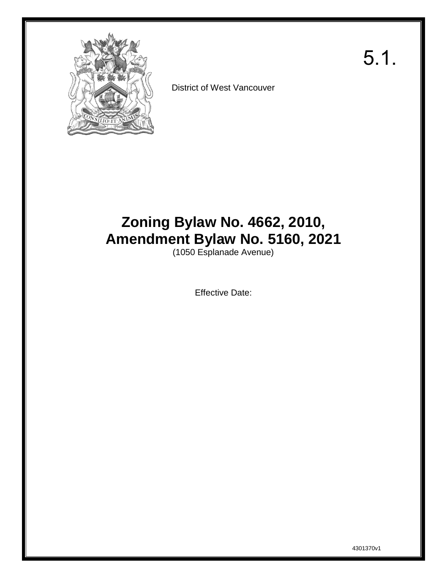

District of West Vancouver

# **Zoning Bylaw No. 4662, 2010, Amendment Bylaw No. 5160, 2021**

(1050 Esplanade Avenue)

Effective Date:

5.1.

4301370v1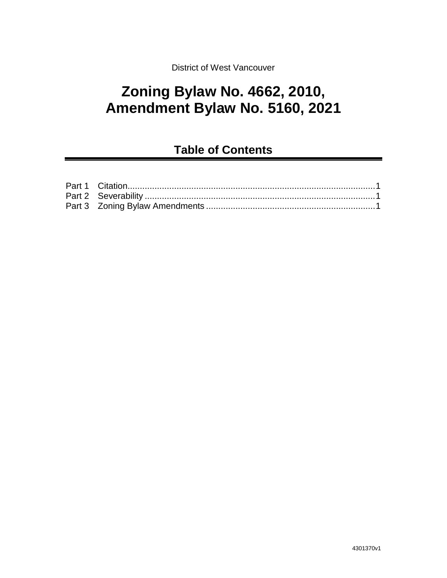District of West Vancouver

## **Zoning Bylaw No. 4662, 2010, Amendment Bylaw No. 5160, 2021**

### **Table of Contents**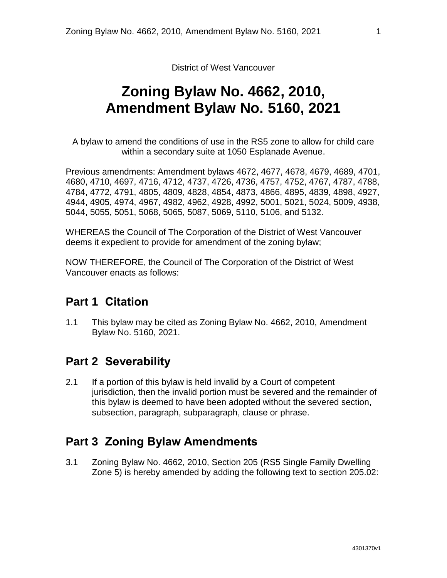District of West Vancouver

## **Zoning Bylaw No. 4662, 2010, Amendment Bylaw No. 5160, 2021**

A bylaw to amend the conditions of use in the RS5 zone to allow for child care within a secondary suite at 1050 Esplanade Avenue.

Previous amendments: Amendment bylaws 4672, 4677, 4678, 4679, 4689, 4701, 4680, 4710, 4697, 4716, 4712, 4737, 4726, 4736, 4757, 4752, 4767, 4787, 4788, 4784, 4772, 4791, 4805, 4809, 4828, 4854, 4873, 4866, 4895, 4839, 4898, 4927, 4944, 4905, 4974, 4967, 4982, 4962, 4928, 4992, 5001, 5021, 5024, 5009, 4938, 5044, 5055, 5051, 5068, 5065, 5087, 5069, 5110, 5106, and 5132.

WHEREAS the Council of The Corporation of the District of West Vancouver deems it expedient to provide for amendment of the zoning bylaw;

<span id="page-2-0"></span>NOW THEREFORE, the Council of The Corporation of the District of West Vancouver enacts as follows:

### **Part 1 Citation**

1.1 This bylaw may be cited as Zoning Bylaw No. 4662, 2010, Amendment Bylaw No. 5160, 2021.

### <span id="page-2-1"></span>**Part 2 Severability**

2.1 If a portion of this bylaw is held invalid by a Court of competent jurisdiction, then the invalid portion must be severed and the remainder of this bylaw is deemed to have been adopted without the severed section, subsection, paragraph, subparagraph, clause or phrase.

### <span id="page-2-2"></span>**Part 3 Zoning Bylaw Amendments**

3.1 Zoning Bylaw No. 4662, 2010, Section 205 (RS5 Single Family Dwelling Zone 5) is hereby amended by adding the following text to section 205.02: